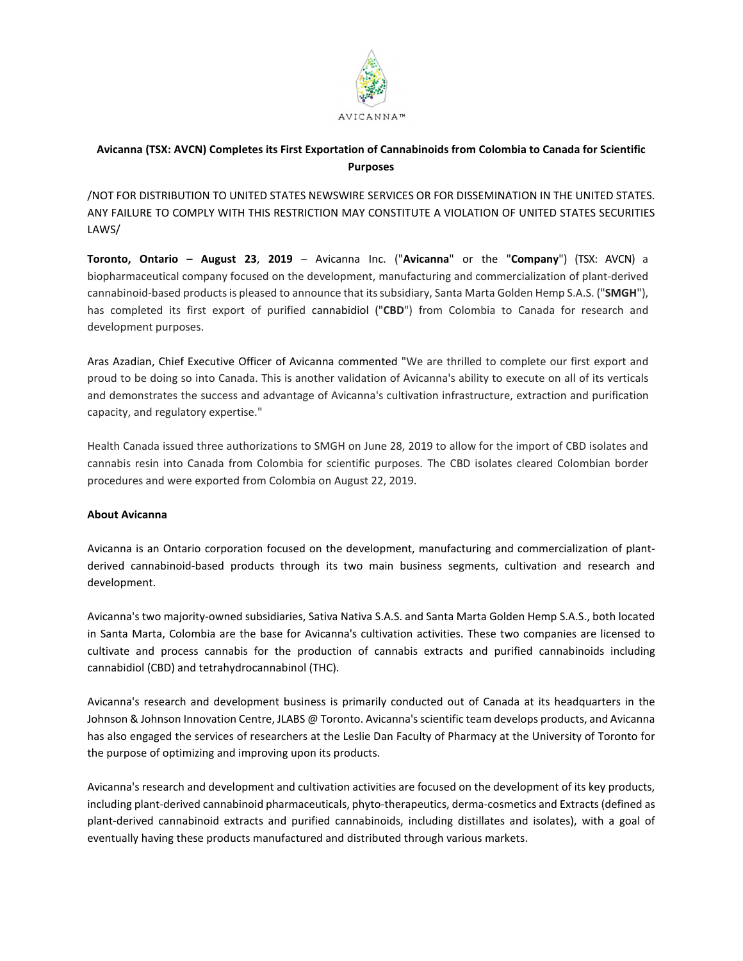

## **Avicanna (TSX: AVCN) Completes its First Exportation of Cannabinoids from Colombia to Canada for Scientific Purposes**

/NOT FOR DISTRIBUTION TO UNITED STATES NEWSWIRE SERVICES OR FOR DISSEMINATION IN THE UNITED STATES. ANY FAILURE TO COMPLY WITH THIS RESTRICTION MAY CONSTITUTE A VIOLATION OF UNITED STATES SECURITIES LAWS/

**Toronto, Ontario – August 23**, **2019** – Avicanna Inc. ("**Avicanna**" or the "**Company**") (TSX: AVCN) a biopharmaceutical company focused on the development, manufacturing and commercialization of plant-derived cannabinoid-based products is pleased to announce that its subsidiary, Santa Marta Golden Hemp S.A.S. ("**SMGH**"), has completed its first export of purified cannabidiol ("**CBD**") from Colombia to Canada for research and development purposes.

Aras Azadian, Chief Executive Officer of Avicanna commented "We are thrilled to complete our first export and proud to be doing so into Canada. This is another validation of Avicanna's ability to execute on all of its verticals and demonstrates the success and advantage of Avicanna's cultivation infrastructure, extraction and purification capacity, and regulatory expertise."

Health Canada issued three authorizations to SMGH on June 28, 2019 to allow for the import of CBD isolates and cannabis resin into Canada from Colombia for scientific purposes. The CBD isolates cleared Colombian border procedures and were exported from Colombia on August 22, 2019.

## **About Avicanna**

Avicanna is an Ontario corporation focused on the development, manufacturing and commercialization of plantderived cannabinoid-based products through its two main business segments, cultivation and research and development.

Avicanna's two majority-owned subsidiaries, Sativa Nativa S.A.S. and Santa Marta Golden Hemp S.A.S., both located in Santa Marta, Colombia are the base for Avicanna's cultivation activities. These two companies are licensed to cultivate and process cannabis for the production of cannabis extracts and purified cannabinoids including cannabidiol (CBD) and tetrahydrocannabinol (THC).

Avicanna's research and development business is primarily conducted out of Canada at its headquarters in the Johnson & Johnson Innovation Centre, JLABS @ Toronto. Avicanna's scientific team develops products, and Avicanna has also engaged the services of researchers at the Leslie Dan Faculty of Pharmacy at the University of Toronto for the purpose of optimizing and improving upon its products.

Avicanna's research and development and cultivation activities are focused on the development of its key products, including plant-derived cannabinoid pharmaceuticals, phyto-therapeutics, derma-cosmetics and Extracts (defined as plant-derived cannabinoid extracts and purified cannabinoids, including distillates and isolates), with a goal of eventually having these products manufactured and distributed through various markets.